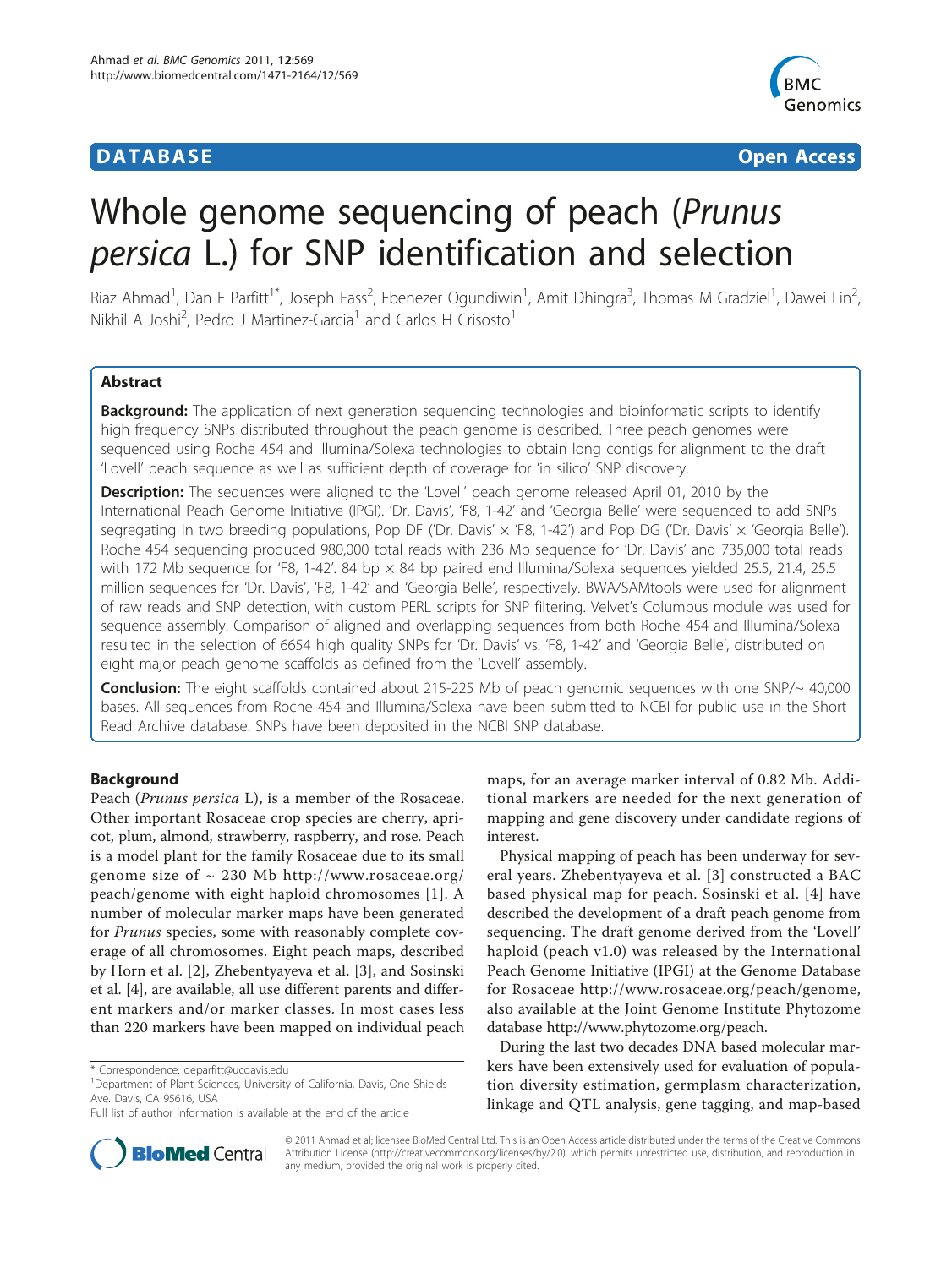## **DATABASE CONTROLLER CONTROLLER CONTROLLER CONTROLLER CONTROLLER CONTROLLER CONTROLLER CONTROLLER CONTROLLER CONTROLLER CONTROLLER CONTROLLER CONTROLLER CONTROLLER CONTROLLER CONTROLLER CONTROLLER CONTROLLER CONTROLLER C**



# Whole genome sequencing of peach (Prunus persica L.) for SNP identification and selection

Riaz Ahmad<sup>1</sup>, Dan E Parfitt<sup>1\*</sup>, Joseph Fass<sup>2</sup>, Ebenezer Ogundiwin<sup>1</sup>, Amit Dhingra<sup>3</sup>, Thomas M Gradziel<sup>1</sup>, Dawei Lin<sup>2</sup> , Nikhil A Joshi<sup>2</sup>, Pedro J Martinez-Garcia<sup>1</sup> and Carlos H Crisosto<sup>1</sup>

## Abstract

**Background:** The application of next generation sequencing technologies and bioinformatic scripts to identify high frequency SNPs distributed throughout the peach genome is described. Three peach genomes were sequenced using Roche 454 and Illumina/Solexa technologies to obtain long contigs for alignment to the draft 'Lovell' peach sequence as well as sufficient depth of coverage for 'in silico' SNP discovery.

**Description:** The sequences were aligned to the 'Lovell' peach genome released April 01, 2010 by the International Peach Genome Initiative (IPGI). 'Dr. Davis', 'F8, 1-42' and 'Georgia Belle' were sequenced to add SNPs segregating in two breeding populations, Pop DF ('Dr. Davis' x 'F8, 1-42') and Pop DG ('Dr. Davis' x 'Georgia Belle'). Roche 454 sequencing produced 980,000 total reads with 236 Mb sequence for 'Dr. Davis' and 735,000 total reads with 172 Mb sequence for 'F8, 1-42'. 84 bp  $\times$  84 bp paired end Illumina/Solexa sequences yielded 25.5, 21.4, 25.5 million sequences for 'Dr. Davis', 'F8, 1-42' and 'Georgia Belle', respectively. BWA/SAMtools were used for alignment of raw reads and SNP detection, with custom PERL scripts for SNP filtering. Velvet's Columbus module was used for sequence assembly. Comparison of aligned and overlapping sequences from both Roche 454 and Illumina/Solexa resulted in the selection of 6654 high quality SNPs for 'Dr. Davis' vs. 'F8, 1-42' and 'Georgia Belle', distributed on eight major peach genome scaffolds as defined from the 'Lovell' assembly.

**Conclusion:** The eight scaffolds contained about 215-225 Mb of peach genomic sequences with one SNP/~ 40,000 bases. All sequences from Roche 454 and Illumina/Solexa have been submitted to NCBI for public use in the Short Read Archive database. SNPs have been deposited in the NCBI SNP database.

## Background

Peach (Prunus persica L), is a member of the Rosaceae. Other important Rosaceae crop species are cherry, apricot, plum, almond, strawberry, raspberry, and rose. Peach is a model plant for the family Rosaceae due to its small genome size of  $\sim$  230 Mb [http://www.rosaceae.org/](http://www.rosaceae.org/peach/genome) [peach/genome](http://www.rosaceae.org/peach/genome) with eight haploid chromosomes [[1\]](#page-6-0). A number of molecular marker maps have been generated for Prunus species, some with reasonably complete coverage of all chromosomes. Eight peach maps, described by Horn et al. [[2\]](#page-6-0), Zhebentyayeva et al. [[3](#page-6-0)], and Sosinski et al. [[4\]](#page-6-0), are available, all use different parents and different markers and/or marker classes. In most cases less than 220 markers have been mapped on individual peach

maps, for an average marker interval of 0.82 Mb. Additional markers are needed for the next generation of mapping and gene discovery under candidate regions of interest.

Physical mapping of peach has been underway for several years. Zhebentyayeva et al. [\[3\]](#page-6-0) constructed a BAC based physical map for peach. Sosinski et al. [[4](#page-6-0)] have described the development of a draft peach genome from sequencing. The draft genome derived from the 'Lovell' haploid (peach v1.0) was released by the International Peach Genome Initiative (IPGI) at the Genome Database for Rosaceae<http://www.rosaceae.org/peach/genome>, also available at the Joint Genome Institute Phytozome database<http://www.phytozome.org/peach>.

During the last two decades DNA based molecular markers have been extensively used for evaluation of population diversity estimation, germplasm characterization, linkage and QTL analysis, gene tagging, and map-based



© 2011 Ahmad et al; licensee BioMed Central Ltd. This is an Open Access article distributed under the terms of the Creative Commons Attribution License [\(http://creativecommons.org/licenses/by/2.0](http://creativecommons.org/licenses/by/2.0)), which permits unrestricted use, distribution, and reproduction in any medium, provided the original work is properly cited.

<sup>\*</sup> Correspondence: [deparfitt@ucdavis.edu](mailto:deparfitt@ucdavis.edu)

<sup>&</sup>lt;sup>1</sup>Department of Plant Sciences, University of California, Davis, One Shields Ave. Davis, CA 95616, USA

Full list of author information is available at the end of the article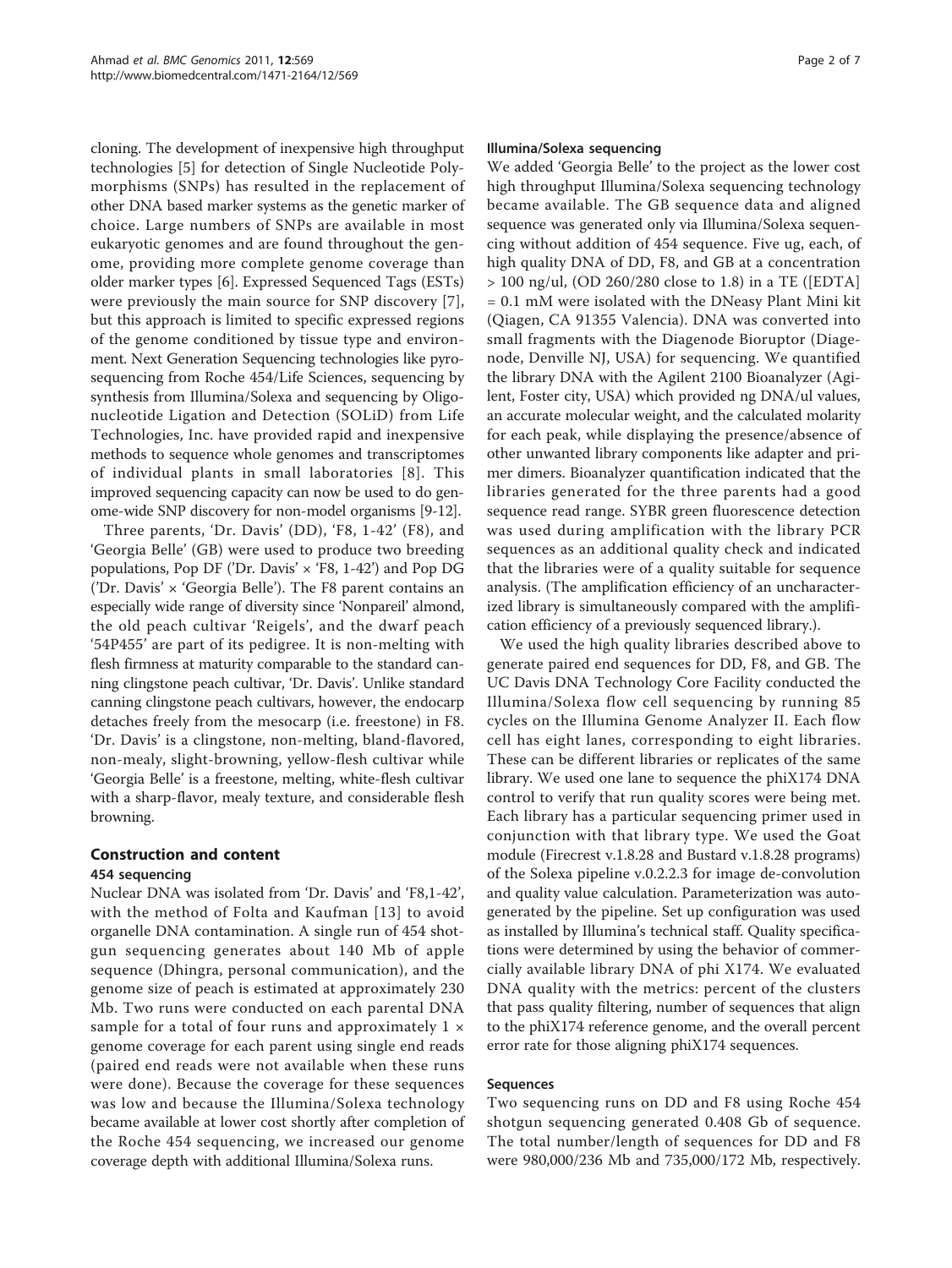cloning. The development of inexpensive high throughput technologies [[5\]](#page-6-0) for detection of Single Nucleotide Polymorphisms (SNPs) has resulted in the replacement of other DNA based marker systems as the genetic marker of choice. Large numbers of SNPs are available in most eukaryotic genomes and are found throughout the genome, providing more complete genome coverage than older marker types [[6\]](#page-6-0). Expressed Sequenced Tags (ESTs) were previously the main source for SNP discovery [[7](#page-6-0)], but this approach is limited to specific expressed regions of the genome conditioned by tissue type and environment. Next Generation Sequencing technologies like pyrosequencing from Roche 454/Life Sciences, sequencing by synthesis from Illumina/Solexa and sequencing by Oligonucleotide Ligation and Detection (SOLiD) from Life Technologies, Inc. have provided rapid and inexpensive methods to sequence whole genomes and transcriptomes of individual plants in small laboratories [[8](#page-6-0)]. This improved sequencing capacity can now be used to do genome-wide SNP discovery for non-model organisms [[9](#page-6-0)-[12](#page-6-0)].

Three parents, 'Dr. Davis' (DD), 'F8, 1-42' (F8), and 'Georgia Belle' (GB) were used to produce two breeding populations, Pop DF ('Dr. Davis'  $\times$  'F8, 1-42') and Pop DG ('Dr. Davis'  $\times$  'Georgia Belle'). The F8 parent contains an especially wide range of diversity since 'Nonpareil' almond, the old peach cultivar 'Reigels', and the dwarf peach '54P455' are part of its pedigree. It is non-melting with flesh firmness at maturity comparable to the standard canning clingstone peach cultivar, 'Dr. Davis'. Unlike standard canning clingstone peach cultivars, however, the endocarp detaches freely from the mesocarp (i.e. freestone) in F8. 'Dr. Davis' is a clingstone, non-melting, bland-flavored, non-mealy, slight-browning, yellow-flesh cultivar while 'Georgia Belle' is a freestone, melting, white-flesh cultivar with a sharp-flavor, mealy texture, and considerable flesh browning.

## Construction and content 454 sequencing

Nuclear DNA was isolated from 'Dr. Davis' and 'F8,1-42', with the method of Folta and Kaufman [\[13](#page-6-0)] to avoid organelle DNA contamination. A single run of 454 shotgun sequencing generates about 140 Mb of apple sequence (Dhingra, personal communication), and the genome size of peach is estimated at approximately 230 Mb. Two runs were conducted on each parental DNA sample for a total of four runs and approximately  $1 \times$ genome coverage for each parent using single end reads (paired end reads were not available when these runs were done). Because the coverage for these sequences was low and because the Illumina/Solexa technology became available at lower cost shortly after completion of the Roche 454 sequencing, we increased our genome coverage depth with additional Illumina/Solexa runs.

#### Illumina/Solexa sequencing

We added 'Georgia Belle' to the project as the lower cost high throughput Illumina/Solexa sequencing technology became available. The GB sequence data and aligned sequence was generated only via Illumina/Solexa sequencing without addition of 454 sequence. Five ug, each, of high quality DNA of DD, F8, and GB at a concentration > 100 ng/ul, (OD 260/280 close to 1.8) in a TE ([EDTA] = 0.1 mM were isolated with the DNeasy Plant Mini kit (Qiagen, CA 91355 Valencia). DNA was converted into small fragments with the Diagenode Bioruptor (Diagenode, Denville NJ, USA) for sequencing. We quantified the library DNA with the Agilent 2100 Bioanalyzer (Agilent, Foster city, USA) which provided ng DNA/ul values, an accurate molecular weight, and the calculated molarity for each peak, while displaying the presence/absence of other unwanted library components like adapter and primer dimers. Bioanalyzer quantification indicated that the libraries generated for the three parents had a good sequence read range. SYBR green fluorescence detection was used during amplification with the library PCR sequences as an additional quality check and indicated that the libraries were of a quality suitable for sequence analysis. (The amplification efficiency of an uncharacterized library is simultaneously compared with the amplification efficiency of a previously sequenced library.).

We used the high quality libraries described above to generate paired end sequences for DD, F8, and GB. The UC Davis DNA Technology Core Facility conducted the Illumina/Solexa flow cell sequencing by running 85 cycles on the Illumina Genome Analyzer II. Each flow cell has eight lanes, corresponding to eight libraries. These can be different libraries or replicates of the same library. We used one lane to sequence the phiX174 DNA control to verify that run quality scores were being met. Each library has a particular sequencing primer used in conjunction with that library type. We used the Goat module (Firecrest v.1.8.28 and Bustard v.1.8.28 programs) of the Solexa pipeline v.0.2.2.3 for image de-convolution and quality value calculation. Parameterization was autogenerated by the pipeline. Set up configuration was used as installed by Illumina's technical staff. Quality specifications were determined by using the behavior of commercially available library DNA of phi X174. We evaluated DNA quality with the metrics: percent of the clusters that pass quality filtering, number of sequences that align to the phiX174 reference genome, and the overall percent error rate for those aligning phiX174 sequences.

### Sequences

Two sequencing runs on DD and F8 using Roche 454 shotgun sequencing generated 0.408 Gb of sequence. The total number/length of sequences for DD and F8 were 980,000/236 Mb and 735,000/172 Mb, respectively.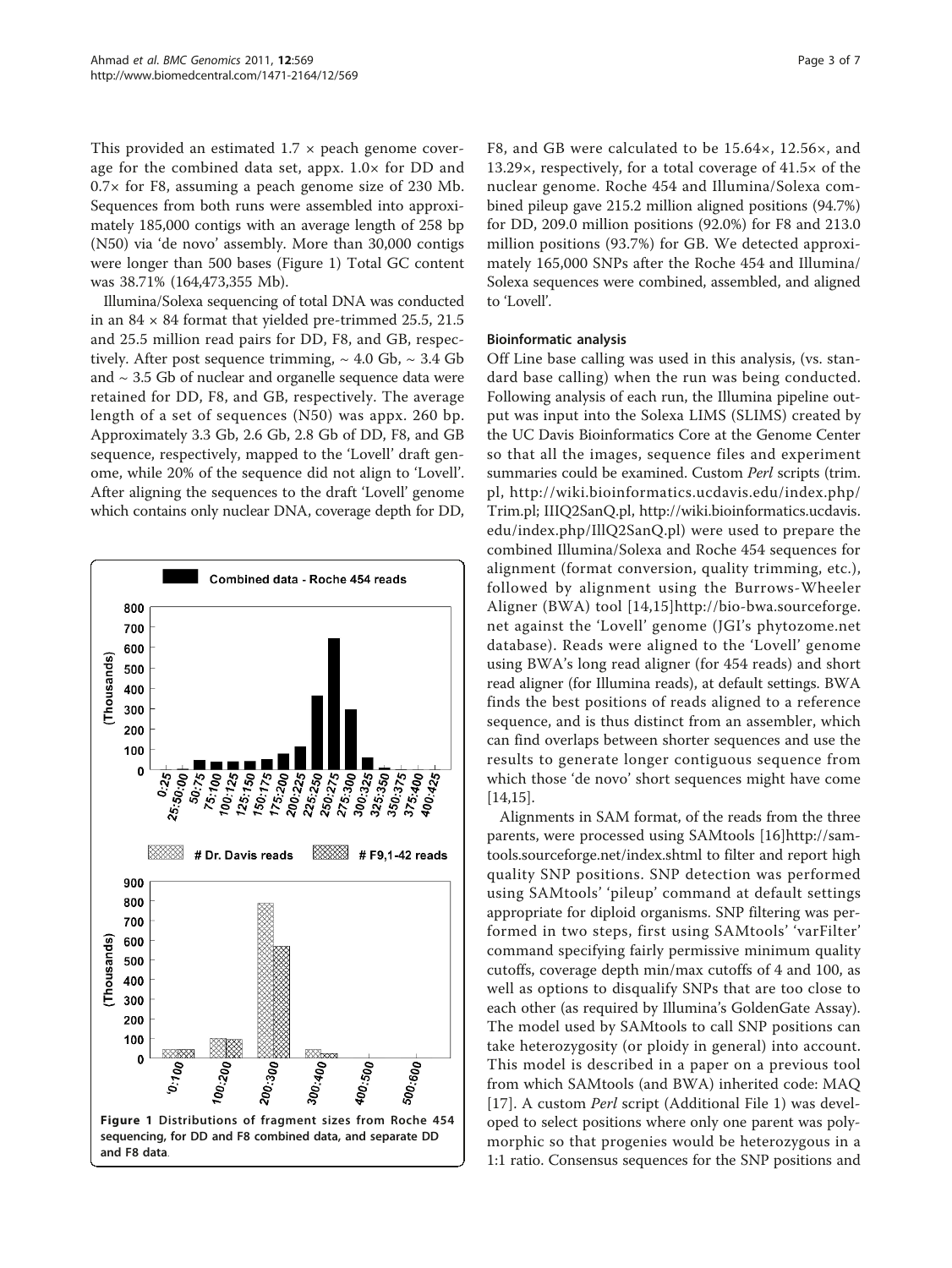This provided an estimated  $1.7 \times$  peach genome coverage for the combined data set, appx. 1.0× for DD and 0.7× for F8, assuming a peach genome size of 230 Mb. Sequences from both runs were assembled into approximately 185,000 contigs with an average length of 258 bp (N50) via 'de novo' assembly. More than 30,000 contigs were longer than 500 bases (Figure 1) Total GC content was 38.71% (164,473,355 Mb).

Illumina/Solexa sequencing of total DNA was conducted in an  $84 \times 84$  format that yielded pre-trimmed 25.5, 21.5 and 25.5 million read pairs for DD, F8, and GB, respectively. After post sequence trimming,  $\sim 4.0$  Gb,  $\sim 3.4$  Gb and  $\sim$  3.5 Gb of nuclear and organelle sequence data were retained for DD, F8, and GB, respectively. The average length of a set of sequences (N50) was appx. 260 bp. Approximately 3.3 Gb, 2.6 Gb, 2.8 Gb of DD, F8, and GB sequence, respectively, mapped to the 'Lovell' draft genome, while 20% of the sequence did not align to 'Lovell'. After aligning the sequences to the draft 'Lovell' genome which contains only nuclear DNA, coverage depth for DD,



F8, and GB were calculated to be 15.64×, 12.56×, and 13.29×, respectively, for a total coverage of 41.5× of the nuclear genome. Roche 454 and Illumina/Solexa combined pileup gave 215.2 million aligned positions (94.7%) for DD, 209.0 million positions (92.0%) for F8 and 213.0 million positions (93.7%) for GB. We detected approximately 165,000 SNPs after the Roche 454 and Illumina/ Solexa sequences were combined, assembled, and aligned to 'Lovell'.

### Bioinformatic analysis

Off Line base calling was used in this analysis, (vs. standard base calling) when the run was being conducted. Following analysis of each run, the Illumina pipeline output was input into the Solexa LIMS (SLIMS) created by the UC Davis Bioinformatics Core at the Genome Center so that all the images, sequence files and experiment summaries could be examined. Custom Perl scripts (trim. pl, [http://wiki.bioinformatics.ucdavis.edu/index.php/](http://wiki.bioinformatics.ucdavis.edu/index.php/Trim.pl) [Trim.pl;](http://wiki.bioinformatics.ucdavis.edu/index.php/Trim.pl) IIIQ2SanQ.pl, [http://wiki.bioinformatics.ucdavis.](http://wiki.bioinformatics.ucdavis.edu/index.php/IllQ2SanQ.pl) [edu/index.php/IllQ2SanQ.pl](http://wiki.bioinformatics.ucdavis.edu/index.php/IllQ2SanQ.pl)) were used to prepare the combined Illumina/Solexa and Roche 454 sequences for alignment (format conversion, quality trimming, etc.), followed by alignment using the Burrows-Wheeler Aligner (BWA) tool [[14](#page-6-0),[15\]](#page-6-0)[http://bio-bwa.sourceforge.](http://bio-bwa.sourceforge.net) [net](http://bio-bwa.sourceforge.net) against the 'Lovell' genome (JGI's phytozome.net database). Reads were aligned to the 'Lovell' genome using BWA's long read aligner (for 454 reads) and short read aligner (for Illumina reads), at default settings. BWA finds the best positions of reads aligned to a reference sequence, and is thus distinct from an assembler, which can find overlaps between shorter sequences and use the results to generate longer contiguous sequence from which those 'de novo' short sequences might have come [[14,15\]](#page-6-0).

Alignments in SAM format, of the reads from the three parents, were processed using SAMtools [[16\]](#page-6-0)[http://sam](http://samtools.sourceforge.net/index.shtml)[tools.sourceforge.net/index.shtml](http://samtools.sourceforge.net/index.shtml) to filter and report high quality SNP positions. SNP detection was performed using SAMtools' 'pileup' command at default settings appropriate for diploid organisms. SNP filtering was performed in two steps, first using SAMtools' 'varFilter' command specifying fairly permissive minimum quality cutoffs, coverage depth min/max cutoffs of 4 and 100, as well as options to disqualify SNPs that are too close to each other (as required by Illumina's GoldenGate Assay). The model used by SAMtools to call SNP positions can take heterozygosity (or ploidy in general) into account. This model is described in a paper on a previous tool from which SAMtools (and BWA) inherited code: MAQ [[17](#page-6-0)]. A custom Perl script (Additional File [1\)](#page-5-0) was developed to select positions where only one parent was polymorphic so that progenies would be heterozygous in a 1:1 ratio. Consensus sequences for the SNP positions and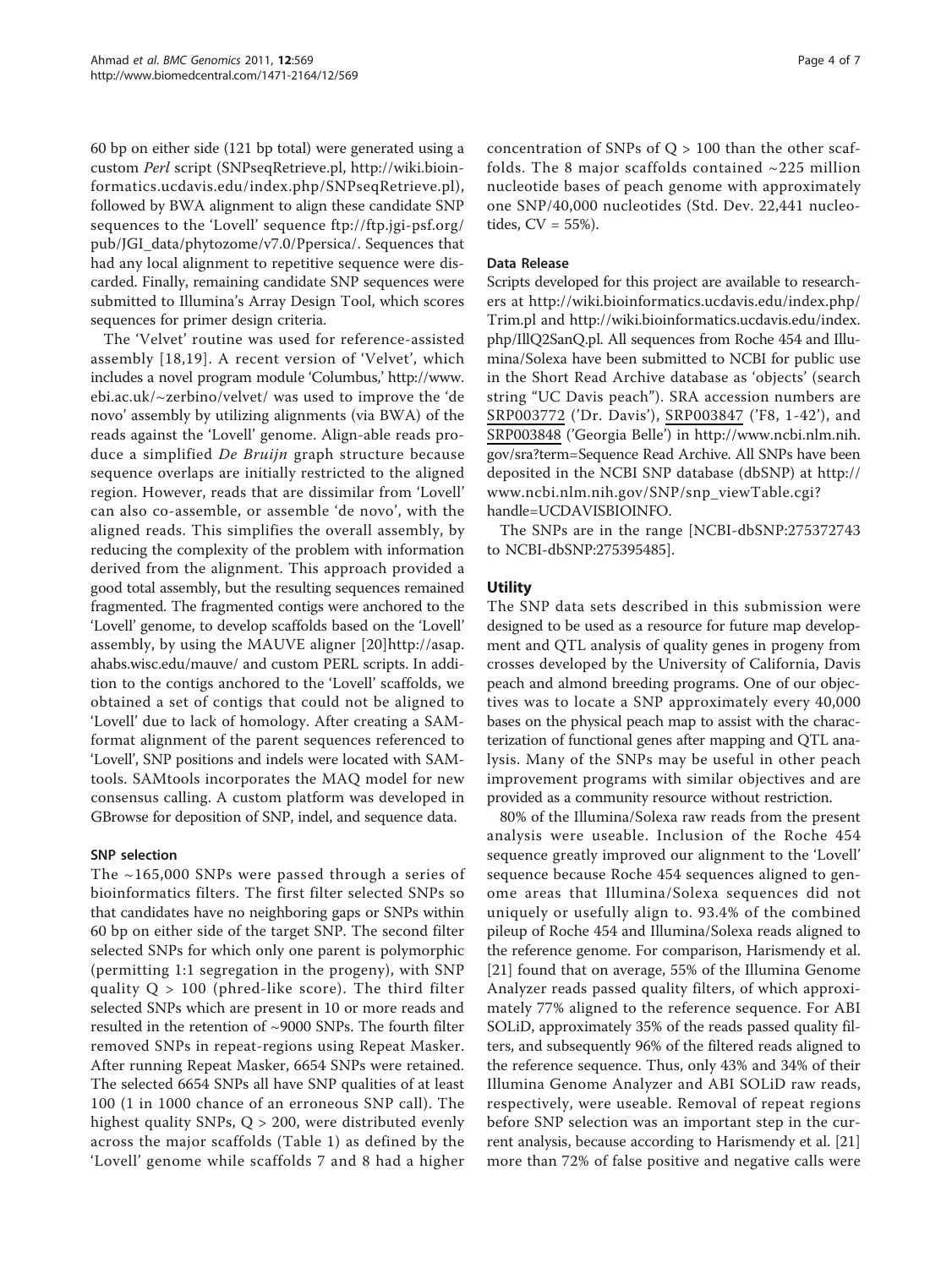60 bp on either side (121 bp total) were generated using a custom Perl script (SNPseqRetrieve.pl, [http://wiki.bioin](http://wiki.bioinformatics.ucdavis.edu/index.php/SNPseqRetrieve.pl)[formatics.ucdavis.edu/index.php/SNPseqRetrieve.pl\)](http://wiki.bioinformatics.ucdavis.edu/index.php/SNPseqRetrieve.pl), followed by BWA alignment to align these candidate SNP sequences to the 'Lovell' sequence [ftp://ftp.jgi-psf.org/](ftp://ftp.jgi-psf.org/pub/JGI_data/phytozome/v7.0/Ppersica/) [pub/JGI\\_data/phytozome/v7.0/Ppersica/.](ftp://ftp.jgi-psf.org/pub/JGI_data/phytozome/v7.0/Ppersica/) Sequences that had any local alignment to repetitive sequence were discarded. Finally, remaining candidate SNP sequences were submitted to Illumina's Array Design Tool, which scores sequences for primer design criteria.

The 'Velvet' routine was used for reference-assisted assembly [[18,19\]](#page-6-0). A recent version of 'Velvet', which includes a novel program module 'Columbus,' [http://www.](http://www.ebi.ac.uk/~zerbino/velvet/) [ebi.ac.uk/~zerbino/velvet/](http://www.ebi.ac.uk/~zerbino/velvet/) was used to improve the 'de novo' assembly by utilizing alignments (via BWA) of the reads against the 'Lovell' genome. Align-able reads produce a simplified De Bruijn graph structure because sequence overlaps are initially restricted to the aligned region. However, reads that are dissimilar from 'Lovell' can also co-assemble, or assemble 'de novo', with the aligned reads. This simplifies the overall assembly, by reducing the complexity of the problem with information derived from the alignment. This approach provided a good total assembly, but the resulting sequences remained fragmented. The fragmented contigs were anchored to the 'Lovell' genome, to develop scaffolds based on the 'Lovell' assembly, by using the MAUVE aligner [\[20](#page-6-0)][http://asap.](http://asap.ahabs.wisc.edu/mauve/) [ahabs.wisc.edu/mauve/](http://asap.ahabs.wisc.edu/mauve/) and custom PERL scripts. In addition to the contigs anchored to the 'Lovell' scaffolds, we obtained a set of contigs that could not be aligned to 'Lovell' due to lack of homology. After creating a SAMformat alignment of the parent sequences referenced to 'Lovell', SNP positions and indels were located with SAMtools. SAMtools incorporates the MAQ model for new consensus calling. A custom platform was developed in GBrowse for deposition of SNP, indel, and sequence data.

### SNP selection

The ~165,000 SNPs were passed through a series of bioinformatics filters. The first filter selected SNPs so that candidates have no neighboring gaps or SNPs within 60 bp on either side of the target SNP. The second filter selected SNPs for which only one parent is polymorphic (permitting 1:1 segregation in the progeny), with SNP quality  $Q > 100$  (phred-like score). The third filter selected SNPs which are present in 10 or more reads and resulted in the retention of ~9000 SNPs. The fourth filter removed SNPs in repeat-regions using Repeat Masker. After running Repeat Masker, 6654 SNPs were retained. The selected 6654 SNPs all have SNP qualities of at least 100 (1 in 1000 chance of an erroneous SNP call). The highest quality SNPs, Q > 200, were distributed evenly across the major scaffolds (Table [1\)](#page-4-0) as defined by the 'Lovell' genome while scaffolds 7 and 8 had a higher concentration of SNPs of  $Q > 100$  than the other scaffolds. The 8 major scaffolds contained  $\sim$ 225 million nucleotide bases of peach genome with approximately one SNP/40,000 nucleotides (Std. Dev. 22,441 nucleotides, CV = 55%).

### Data Release

Scripts developed for this project are available to researchers at [http://wiki.bioinformatics.ucdavis.edu/index.php/](http://wiki.bioinformatics.ucdavis.edu/index.php/Trim.pl) [Trim.pl](http://wiki.bioinformatics.ucdavis.edu/index.php/Trim.pl) and [http://wiki.bioinformatics.ucdavis.edu/index.](http://wiki.bioinformatics.ucdavis.edu/index.php/IllQ2SanQ.pl) [php/IllQ2SanQ.pl.](http://wiki.bioinformatics.ucdavis.edu/index.php/IllQ2SanQ.pl) All sequences from Roche 454 and Illumina/Solexa have been submitted to NCBI for public use in the Short Read Archive database as 'objects' (search string "UC Davis peach"). SRA accession numbers are SRP003772 ('Dr. Davis'), SRP003847 ('F8, 1-42'), and SRP003848 ('Georgia Belle') in [http://www.ncbi.nlm.nih.](http://www.ncbi.nlm.nih.gov/sra?term=Sequence Read Archive) [gov/sra?term=Sequence Read Archive](http://www.ncbi.nlm.nih.gov/sra?term=Sequence Read Archive). All SNPs have been deposited in the NCBI SNP database (dbSNP) at [http://](http://www.ncbi.nlm.nih.gov/SNP/snp_viewTable.cgi?handle=UCDAVISBIOINFO) [www.ncbi.nlm.nih.gov/SNP/snp\\_viewTable.cgi?](http://www.ncbi.nlm.nih.gov/SNP/snp_viewTable.cgi?handle=UCDAVISBIOINFO) [handle=UCDAVISBIOINFO](http://www.ncbi.nlm.nih.gov/SNP/snp_viewTable.cgi?handle=UCDAVISBIOINFO).

The SNPs are in the range [NCBI-dbSNP:275372743 to NCBI-dbSNP:275395485].

## **Utility**

The SNP data sets described in this submission were designed to be used as a resource for future map development and QTL analysis of quality genes in progeny from crosses developed by the University of California, Davis peach and almond breeding programs. One of our objectives was to locate a SNP approximately every 40,000 bases on the physical peach map to assist with the characterization of functional genes after mapping and QTL analysis. Many of the SNPs may be useful in other peach improvement programs with similar objectives and are provided as a community resource without restriction.

80% of the Illumina/Solexa raw reads from the present analysis were useable. Inclusion of the Roche 454 sequence greatly improved our alignment to the 'Lovell' sequence because Roche 454 sequences aligned to genome areas that Illumina/Solexa sequences did not uniquely or usefully align to. 93.4% of the combined pileup of Roche 454 and Illumina/Solexa reads aligned to the reference genome. For comparison, Harismendy et al. [[21\]](#page-6-0) found that on average, 55% of the Illumina Genome Analyzer reads passed quality filters, of which approximately 77% aligned to the reference sequence. For ABI SOLiD, approximately 35% of the reads passed quality filters, and subsequently 96% of the filtered reads aligned to the reference sequence. Thus, only 43% and 34% of their Illumina Genome Analyzer and ABI SOLiD raw reads, respectively, were useable. Removal of repeat regions before SNP selection was an important step in the current analysis, because according to Harismendy et al. [[21](#page-6-0)] more than 72% of false positive and negative calls were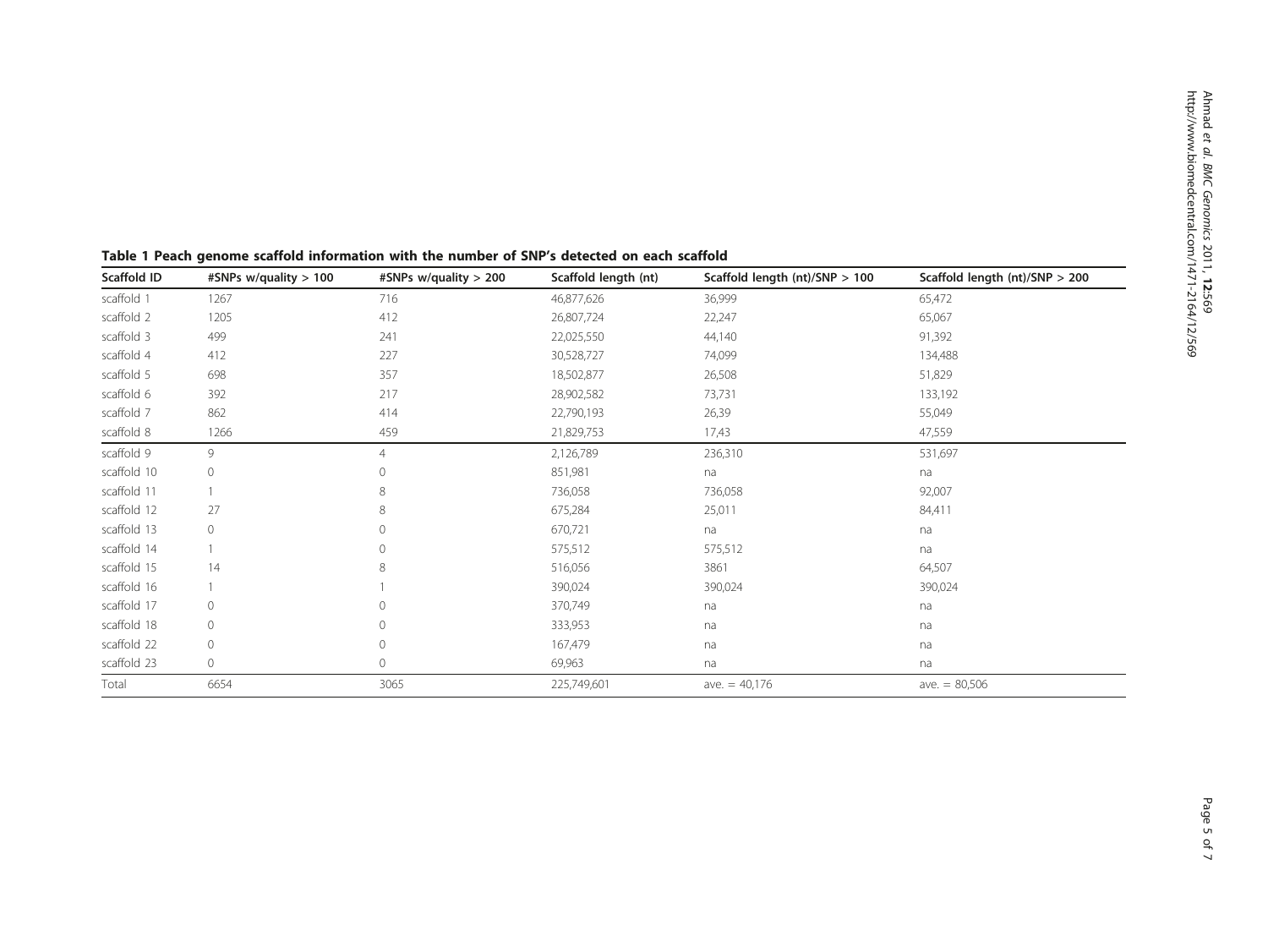| Scaffold ID | #SNPs w/quality > 100 | #SNPs w/quality > 200 | Scaffold length (nt) | Scaffold length $(nt)/SNP > 100$ | Scaffold length $(nt)/SNP > 200$ |
|-------------|-----------------------|-----------------------|----------------------|----------------------------------|----------------------------------|
| scaffold 1  | 1267                  | 716                   | 46,877,626           | 36,999                           | 65,472                           |
| scaffold 2  | 1205                  | 412                   | 26,807,724           | 22,247                           | 65,067                           |
| scaffold 3  | 499                   | 241                   | 22,025,550           | 44,140                           | 91,392                           |
| scaffold 4  | 412                   | 227                   | 30,528,727           | 74,099                           | 134,488                          |
| scaffold 5  | 698                   | 357                   | 18,502,877           | 26,508                           | 51,829                           |
| scaffold 6  | 392                   | 217                   | 28,902,582           | 73,731                           | 133,192                          |
| scaffold 7  | 862                   | 414                   | 22,790,193           | 26,39                            | 55,049                           |
| scaffold 8  | 1266                  | 459                   | 21,829,753           | 17,43                            | 47,559                           |
| scaffold 9  | 9                     | $\overline{4}$        | 2,126,789            | 236,310                          | 531,697                          |
| scaffold 10 | $\circ$               | $\mathbf{0}$          | 851,981              | na                               | na                               |
| scaffold 11 |                       | 8                     | 736,058              | 736,058                          | 92,007                           |
| scaffold 12 | 27                    | 8                     | 675,284              | 25,011                           | 84,411                           |
| scaffold 13 | $\circ$               | $\mathbf{0}$          | 670,721              | na                               | na                               |
| scaffold 14 |                       | $\Omega$              | 575,512              | 575,512                          | na                               |
| scaffold 15 | 14                    | 8                     | 516,056              | 3861                             | 64,507                           |
| scaffold 16 |                       |                       | 390,024              | 390,024                          | 390,024                          |
| scaffold 17 | $\circ$               | $\mathbf{0}$          | 370,749              | na                               | na                               |
| scaffold 18 | $\circ$               | $\Omega$              | 333,953              | na                               | na                               |
| scaffold 22 | $\circ$               | $\mathbf{0}$          | 167,479              | na                               | na                               |
| scaffold 23 | $\circ$               | $\mathbf{0}$          | 69,963               | na                               | na                               |
| Total       | 6654                  | 3065                  | 225,749,601          | ave. $= 40,176$                  | ave. $= 80,506$                  |

<span id="page-4-0"></span>Table 1 Peach genome scaffold information with the number of SNP's detected on each scaffold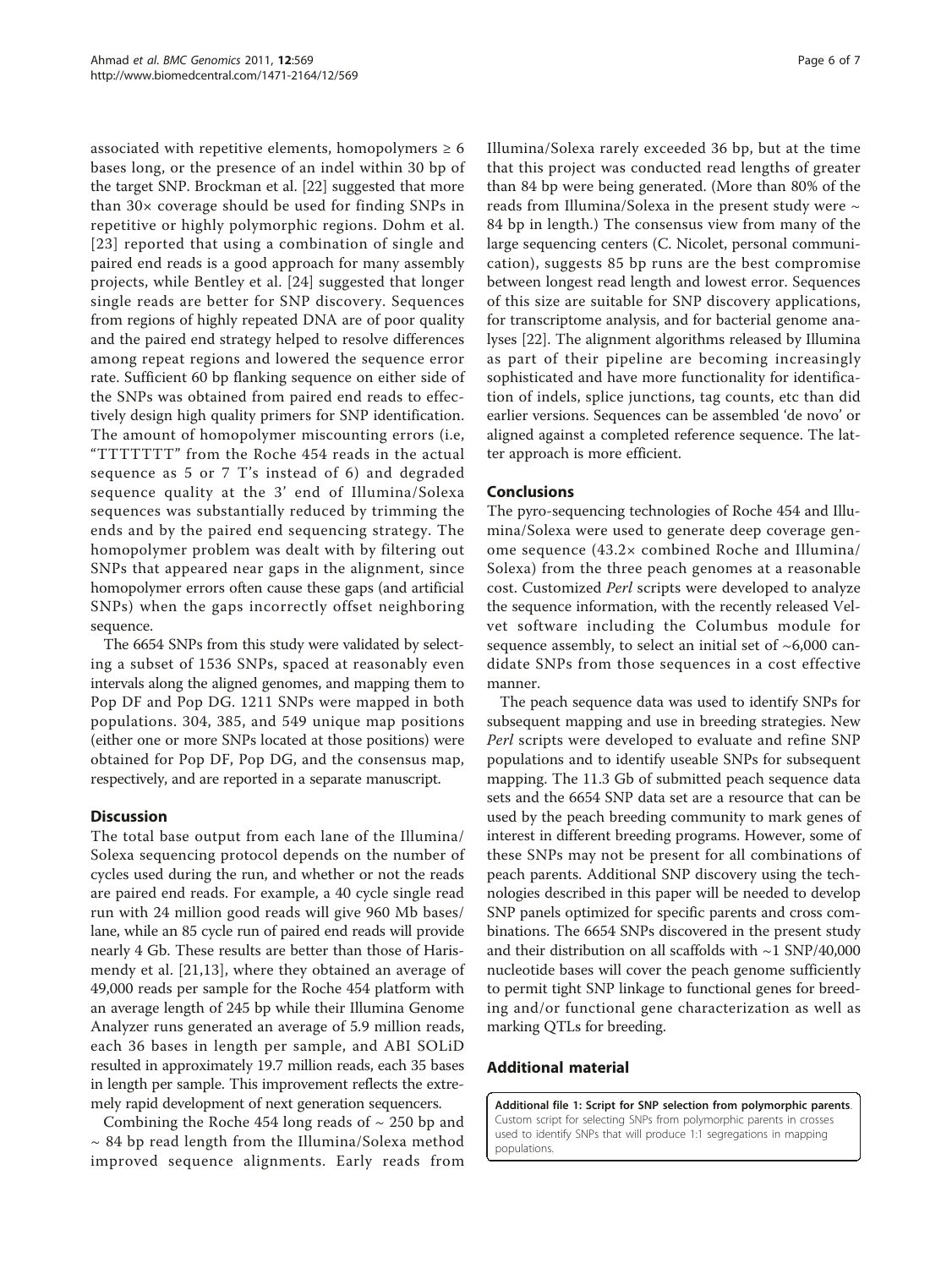<span id="page-5-0"></span>associated with repetitive elements, homopolymers  $\geq 6$ bases long, or the presence of an indel within 30 bp of the target SNP. Brockman et al. [\[22\]](#page-6-0) suggested that more than 30× coverage should be used for finding SNPs in repetitive or highly polymorphic regions. Dohm et al. [[23\]](#page-6-0) reported that using a combination of single and paired end reads is a good approach for many assembly projects, while Bentley et al. [[24](#page-6-0)] suggested that longer single reads are better for SNP discovery. Sequences from regions of highly repeated DNA are of poor quality and the paired end strategy helped to resolve differences among repeat regions and lowered the sequence error rate. Sufficient 60 bp flanking sequence on either side of the SNPs was obtained from paired end reads to effectively design high quality primers for SNP identification. The amount of homopolymer miscounting errors (i.e, "TTTTTTT" from the Roche 454 reads in the actual sequence as 5 or 7 T's instead of 6) and degraded sequence quality at the 3' end of Illumina/Solexa sequences was substantially reduced by trimming the ends and by the paired end sequencing strategy. The homopolymer problem was dealt with by filtering out SNPs that appeared near gaps in the alignment, since homopolymer errors often cause these gaps (and artificial SNPs) when the gaps incorrectly offset neighboring sequence.

The 6654 SNPs from this study were validated by selecting a subset of 1536 SNPs, spaced at reasonably even intervals along the aligned genomes, and mapping them to Pop DF and Pop DG. 1211 SNPs were mapped in both populations. 304, 385, and 549 unique map positions (either one or more SNPs located at those positions) were obtained for Pop DF, Pop DG, and the consensus map, respectively, and are reported in a separate manuscript.

### **Discussion**

The total base output from each lane of the Illumina/ Solexa sequencing protocol depends on the number of cycles used during the run, and whether or not the reads are paired end reads. For example, a 40 cycle single read run with 24 million good reads will give 960 Mb bases/ lane, while an 85 cycle run of paired end reads will provide nearly 4 Gb. These results are better than those of Harismendy et al. [[21,13](#page-6-0)], where they obtained an average of 49,000 reads per sample for the Roche 454 platform with an average length of 245 bp while their Illumina Genome Analyzer runs generated an average of 5.9 million reads, each 36 bases in length per sample, and ABI SOLiD resulted in approximately 19.7 million reads, each 35 bases in length per sample. This improvement reflects the extremely rapid development of next generation sequencers.

Combining the Roche 454 long reads of  $\sim$  250 bp and  $\sim$  84 bp read length from the Illumina/Solexa method improved sequence alignments. Early reads from Illumina/Solexa rarely exceeded 36 bp, but at the time that this project was conducted read lengths of greater than 84 bp were being generated. (More than 80% of the reads from Illumina/Solexa in the present study were  $\sim$ 84 bp in length.) The consensus view from many of the large sequencing centers (C. Nicolet, personal communication), suggests 85 bp runs are the best compromise between longest read length and lowest error. Sequences of this size are suitable for SNP discovery applications, for transcriptome analysis, and for bacterial genome analyses [[22](#page-6-0)]. The alignment algorithms released by Illumina as part of their pipeline are becoming increasingly sophisticated and have more functionality for identification of indels, splice junctions, tag counts, etc than did earlier versions. Sequences can be assembled 'de novo' or aligned against a completed reference sequence. The latter approach is more efficient.

## Conclusions

The pyro-sequencing technologies of Roche 454 and Illumina/Solexa were used to generate deep coverage genome sequence (43.2× combined Roche and Illumina/ Solexa) from the three peach genomes at a reasonable cost. Customized Perl scripts were developed to analyze the sequence information, with the recently released Velvet software including the Columbus module for sequence assembly, to select an initial set of  $~6,000$  candidate SNPs from those sequences in a cost effective manner.

The peach sequence data was used to identify SNPs for subsequent mapping and use in breeding strategies. New Perl scripts were developed to evaluate and refine SNP populations and to identify useable SNPs for subsequent mapping. The 11.3 Gb of submitted peach sequence data sets and the 6654 SNP data set are a resource that can be used by the peach breeding community to mark genes of interest in different breeding programs. However, some of these SNPs may not be present for all combinations of peach parents. Additional SNP discovery using the technologies described in this paper will be needed to develop SNP panels optimized for specific parents and cross combinations. The 6654 SNPs discovered in the present study and their distribution on all scaffolds with ~1 SNP/40,000 nucleotide bases will cover the peach genome sufficiently to permit tight SNP linkage to functional genes for breeding and/or functional gene characterization as well as marking QTLs for breeding.

## Additional material

[Additional file 1: S](http://www.biomedcentral.com/content/supplementary/1471-2164-12-569-S1.DOCX)cript for SNP selection from polymorphic parents. Custom script for selecting SNPs from polymorphic parents in crosses used to identify SNPs that will produce 1:1 segregations in mapping populations.